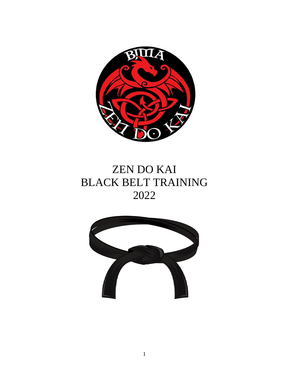

# ZEN DO KAI BLACK BELT TRAINING 2022

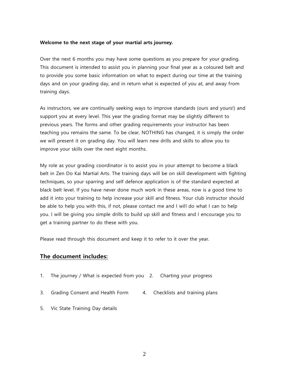### **Welcome to the next stage of your martial arts journey.**

Over the next 6 months you may have some questions as you prepare for your grading. This document is intended to assist you in planning your final year as a coloured belt and to provide you some basic information on what to expect during our time at the training days and on your grading day, and in return what is expected of you at, and away from training days.

As instructors, we are continually seeking ways to improve standards (ours and yours!) and support you at every level. This year the grading format may be slightly different to previous years. The forms and other grading requirements your instructor has been teaching you remains the same. To be clear, NOTHING has changed, it is simply the order we will present it on grading day. You will learn new drills and skills to allow you to improve your skills over the next eight months.

My role as your grading coordinator is to assist you in your attempt to become a black belt in Zen Do Kai Martial Arts. The training days will be on skill development with fighting techniques, so your sparring and self defence application is of the standard expected at black belt level. If you have never done much work in these areas, now is a good time to add it into your training to help increase your skill and fitness. Your club instructor should be able to help you with this, if not, please contact me and I will do what I can to help you. I will be giving you simple drills to build up skill and fitness and I encourage you to get a training partner to do these with you.

Please read through this document and keep it to refer to it over the year.

### **The document includes:**

- 1. The journey / What is expected from you 2. Charting your progress
- 3. Grading Consent and Health Form 4. Checklists and training plans
- 5. Vic State Training Day details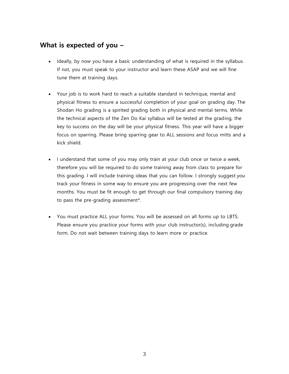# **What is expected of you –**

- Ideally, by now you have a basic understanding of what is required in the syllabus. If not, you must speak to your instructor and learn these ASAP and we will fine tune them at training days.
- Your job is to work hard to reach a suitable standard in technique, mental and physical fitness to ensure a successful completion of your goal on grading day. The Shodan Ho grading is a spirited grading both in physical and mental terms. While the technical aspects of the Zen Do Kai syllabus will be tested at the grading, the key to success on the day will be your physical fitness. This year will have a bigger focus on sparring. Please bring sparring gear to ALL sessions and focus mitts and a kick shield.
- I understand that some of you may only train at your club once or twice a week, therefore you will be required to do some training away from class to prepare for this grading. I will include training ideas that you can follow. I strongly suggest you track your fitness in some way to ensure you are progressing over the next few months. You must be fit enough to get through our final compulsory training day to pass the pre-grading assessment\*.
- You must practice ALL your forms. You will be assessed on all forms up to LBTS. Please ensure you practice your forms with your club instructor(s), including grade form. Do not wait between training days to learn more or practice.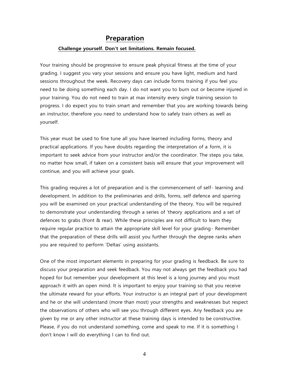### **Preparation**

### **Challenge yourself. Don't set limitations. Remain focused.**

Your training should be progressive to ensure peak physical fitness at the time of your grading. I suggest you vary your sessions and ensure you have light, medium and hard sessions throughout the week. Recovery days can include forms training if you feel you need to be doing something each day. I do not want you to burn out or become injured in your training. You do not need to train at max intensity every single training session to progress. I do expect you to train smart and remember that you are working towards being an instructor, therefore you need to understand how to safely train others as well as yourself.

This year must be used to fine tune all you have learned including forms, theory and practical applications. If you have doubts regarding the interpretation of a form, it is important to seek advice from your instructor and/or the coordinator. The steps you take, no matter how small, if taken on a consistent basis will ensure that your improvement will continue, and you will achieve your goals.

This grading requires a lot of preparation and is the commencement of self- learning and development. In addition to the preliminaries and drills, forms, self defence and sparring you will be examined on your practical understanding of the theory. You will be required to demonstrate your understanding through a series of 'theory applications and a set of defences to grabs (front & rear). While these principles are not difficult to learn they require regular practice to attain the appropriate skill level for your grading- Remember that the preparation of these drills will assist you further through the degree ranks when you are required to perform 'Deltas' using assistants.

One of the most important elements in preparing for your grading is feedback. Be sure to discuss your preparation and seek feedback. You may not always get the feedback you had hoped for but remember your development at this level is a long journey and you must approach it with an open mind. It is important to enjoy your training so that you receive the ultimate reward for your efforts. Your instructor is an integral part of your development and he or she will understand (more than most) your strengths and weaknesses but respect the observations of others who will see you through different eyes. Any feedback you are given by me or any other instructor at these training days is intended to be constructive. Please, if you do not understand something, come and speak to me. If it is something I don't know I will do everything I can to find out.

4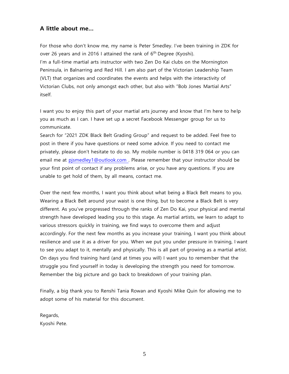### **A little about me…**

For those who don't know me, my name is Peter Smedley. I've been training in ZDK for over 26 years and in 2016 I attained the rank of 6<sup>th</sup> Degree (Kyoshi). I'm a full-time martial arts instructor with two Zen Do Kai clubs on the Mornington Peninsula, in Balnarring and Red Hill. I am also part of the Victorian Leadership Team (VLT) that organizes and coordinates the events and helps with the interactivity of Victorian Clubs, not only amongst each other, but also with "Bob Jones Martial Arts" itself.

I want you to enjoy this part of your martial arts journey and know that I'm here to help you as much as I can. I have set up a secret Facebook Messenger group for us to communicate.

Search for "2021 ZDK Black Belt Grading Group" and request to be added. Feel free to post in there if you have questions or need some advice. If you need to contact me privately, please don't hesitate to do so. My mobile number is 0418 319 064 or you can email me at [pjsmedley1@outlook.com .](mailto:pjsmedley1@outlook.com) Please remember that your instructor should be your first point of contact if any problems arise, or you have any questions. If you are unable to get hold of them, by all means, contact me.

Over the next few months, I want you think about what being a Black Belt means to you. Wearing a Black Belt around your waist is one thing, but to become a Black Belt is very different. As you've progressed through the ranks of Zen Do Kai, your physical and mental strength have developed leading you to this stage. As martial artists, we learn to adapt to various stressors quickly in training, we find ways to overcome them and adjust accordingly. For the next few months as you increase your training, I want you think about resilience and use it as a driver for you. When we put you under pressure in training, I want to see you adapt to it, mentally and physically. This is all part of growing as a martial artist. On days you find training hard (and at times you will) I want you to remember that the struggle you find yourself in today is developing the strength you need for tomorrow. Remember the big picture and go back to breakdown of your training plan.

Finally, a big thank you to Renshi Tania Rowan and Kyoshi Mike Quin for allowing me to adopt some of his material for this document.

Regards, Kyoshi Pete.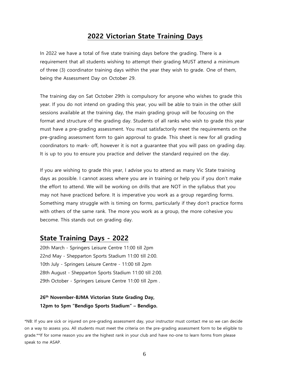## **2022 Victorian State Training Days**

In 2022 we have a total of five state training days before the grading. There is a requirement that all students wishing to attempt their grading MUST attend a minimum of three (3) coordinator training days within the year they wish to grade. One of them, being the Assessment Day on October 29.

The training day on Sat October 29th is compulsory for anyone who wishes to grade this year. If you do not intend on grading this year, you will be able to train in the other skill sessions available at the training day, the main grading group will be focusing on the format and structure of the grading day. Students of all ranks who wish to grade this year must have a pre-grading assessment. You must satisfactorily meet the requirements on the pre-grading assessment form to gain approval to grade. This sheet is new for all grading coordinators to mark- off, however it is not a guarantee that you will pass on grading day. It is up to you to ensure you practice and deliver the standard required on the day.

If you are wishing to grade this year, I advise you to attend as many Vic State training days as possible. I cannot assess where you are in training or help you if you don't make the effort to attend. We will be working on drills that are NOT in the syllabus that you may not have practiced before. It is imperative you work as a group regarding forms. Something many struggle with is timing on forms, particularly if they don't practice forms with others of the same rank. The more you work as a group, the more cohesive you become. This stands out on grading day.

### **State Training Days - 2022**

20th March - Springers Leisure Centre 11:00 till 2pm 22nd May - Shepparton Sports Stadium 11:00 till 2:00. 10th July - Springers Leisure Centre - 11:00 till 2pm 28th August - Shepparton Sports Stadium 11:00 till 2:00. 29th October - Springers Leisure Centre 11:00 till 2pm .

### **26th November-BJMA Victorian State Grading Day, 12pm to 5pm "Bendigo Sports Stadium" – Bendigo.**

\*NB: If you are sick or injured on pre-grading assessment day, your instructor must contact me so we can decide on a way to assess you. All students must meet the criteria on the pre-grading assessment form to be eligible to grade.\*\*If for some reason you are the highest rank in your club and have no-one to learn forms from please speak to me ASAP.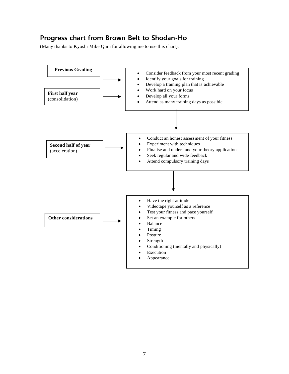# **Progress chart from Brown Belt to Shodan-Ho**

(Many thanks to Kyoshi Mike Quin for allowing me to use this chart).

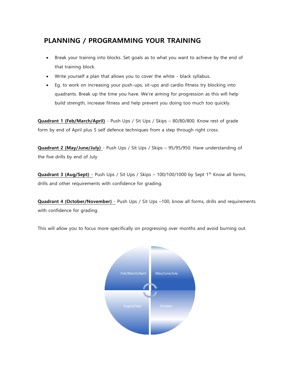# **PLANNING / PROGRAMMING YOUR TRAINING**

- Break your training into blocks. Set goals as to what you want to achieve by the end of that training block.
- Write yourself a plan that allows you to cover the white black syllabus.
- Eg. to work on increasing your push-ups, sit-ups and cardio fitness try blocking into quadrants. Break up the time you have. We're aiming for progression as this will help build strength, increase fitness and help prevent you doing too much too quickly.

**Quadrant 1 (Feb/March/April)** - Push Ups / Sit Ups / Skips – 80/80/800. Know rest of grade form by end of April plus 5 self defence techniques from a step through right cross.

**Quadrant 2 (May/June/July)** - Push Ups / Sit Ups / Skips – 95/95/950. Have understanding of the five drills by end of July

Quadrant 3 (Aug/Sept) - Push Ups / Sit Ups / Skips - 100/100/1000 by Sept 1<sup>st.</sup> Know all forms, drills and other requirements with confidence for grading.

**Quadrant 4 (October/November)** - Push Ups / Sit Ups –100, know all forms, drills and requirements with confidence for grading.

This will allow you to focus more specifically on progressing over months and avoid burning out.

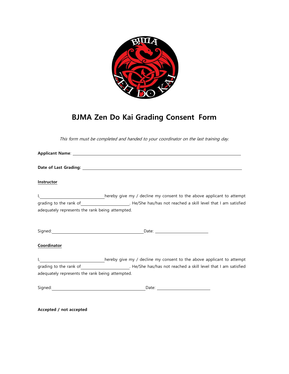

# **BJMA Zen Do Kai Grading Consent Form**

This form must be completed and handed to your coordinator on the last training day.

| Instructor                                      |                                                                                                                                                                                                                                      |
|-------------------------------------------------|--------------------------------------------------------------------------------------------------------------------------------------------------------------------------------------------------------------------------------------|
|                                                 | hereby give my / decline my consent to the above applicant to attempt                                                                                                                                                                |
|                                                 |                                                                                                                                                                                                                                      |
| adequately represents the rank being attempted. |                                                                                                                                                                                                                                      |
|                                                 | Signed: <u>New York: New York: New York: New York: New York: New York: New York: New York: New York: New York: New York: New York: New York: New York: New York: New York: New York: New York: New York: New York: New York: New</u> |
| Coordinator                                     |                                                                                                                                                                                                                                      |
|                                                 | hereby give my / decline my consent to the above applicant to attempt                                                                                                                                                                |
|                                                 |                                                                                                                                                                                                                                      |
| adequately represents the rank being attempted. |                                                                                                                                                                                                                                      |
|                                                 |                                                                                                                                                                                                                                      |
|                                                 |                                                                                                                                                                                                                                      |

**Accepted / not accepted**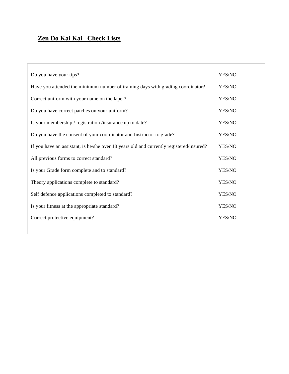# **Zen Do Kai Kai –Check Lists**

| Do you have your tips?                                                                  | YES/NO |
|-----------------------------------------------------------------------------------------|--------|
| Have you attended the minimum number of training days with grading coordinator?         | YES/NO |
| Correct uniform with your name on the lapel?                                            | YES/NO |
| Do you have correct patches on your uniform?                                            | YES/NO |
| Is your membership / registration /insurance up to date?                                | YES/NO |
| Do you have the consent of your coordinator and Instructor to grade?                    | YES/NO |
| If you have an assistant, is he/she over 18 years old and currently registered/insured? | YES/NO |
| All previous forms to correct standard?                                                 | YES/NO |
| Is your Grade form complete and to standard?                                            | YES/NO |
| Theory applications complete to standard?                                               | YES/NO |
| Self defence applications completed to standard?                                        | YES/NO |
| Is your fitness at the appropriate standard?                                            | YES/NO |
| Correct protective equipment?                                                           | YES/NO |
|                                                                                         |        |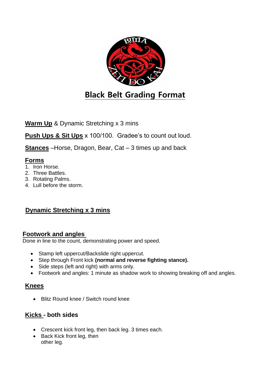

**Warm Up** & Dynamic Stretching x 3 mins

**Push Ups & Sit Ups** x 100/100. Gradee's to count out loud.

**Stances** –Horse, Dragon, Bear, Cat – 3 times up and back

# **Forms**

- 1. Iron Horse.
- 2. Three Battles.
- 3. Rotating Palms.
- 4. Lull before the storm.

# **Dynamic Stretching x 3 mins**

## **Footwork and angles**

Done in line to the count, demonstrating power and speed.

- Stamp left uppercut/Backslide right uppercut.
- Step through Front kick **(normal and reverse fighting stance).**
- Side steps (left and right) with arms only.
- Footwork and angles: 1 minute as shadow work to showing breaking off and angles.

# **Knees**

• Blitz Round knee / Switch round knee

# **Kicks - both sides**

- Crescent kick front leg, then back leg. 3 times each.
- Back Kick front leg, then other leg.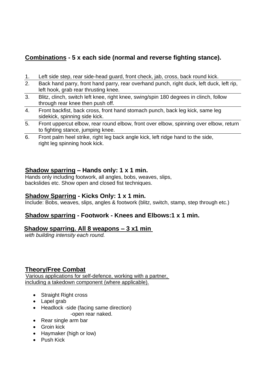# **Combinations - 5 x each side (normal and reverse fighting stance).**

- 1. Left side step, rear side-head guard, front check, jab, cross, back round kick.
- 2. Back hand parry, front hand parry, rear overhand punch, right duck, left duck, left rip, left hook, grab rear thrusting knee.
- 3. Blitz, clinch, switch left knee, right knee, swing/spin 180 degrees in clinch, follow through rear knee then push off.
- 4. Front backfist, back cross, front hand stomach punch, back leg kick, same leg sidekick, spinning side kick.
- 5. Front uppercut elbow, rear round elbow, front over elbow, spinning over elbow, return to fighting stance, jumping knee.
- 6. Front palm heel strike, right leg back angle kick, left ridge hand to the side, right leg spinning hook kick.

# **Shadow sparring – Hands only: 1 x 1 min.**

Hands only including footwork, all angles, bobs, weaves, slips, backslides etc. Show open and closed fist techniques.

# **Shadow Sparring - Kicks Only: 1 x 1 min.**

Include: Bobs, weaves, slips, angles & footwork (blitz, switch, stamp, step through etc.)

# **Shadow sparring - Footwork - Knees and Elbows:1 x 1 min.**

## **Shadow sparring. All 8 weapons – 3 x1 min**

*with building intensity each round.*

## **Theory/Free Combat**

Various applications for self-defence, working with a partner, including a takedown component (where applicable).

- Straight Right cross
- Lapel grab
- Headlock -side (facing same direction) -open rear naked.
- Rear single arm bar
- Groin kick
- Haymaker (high or low)
- Push Kick